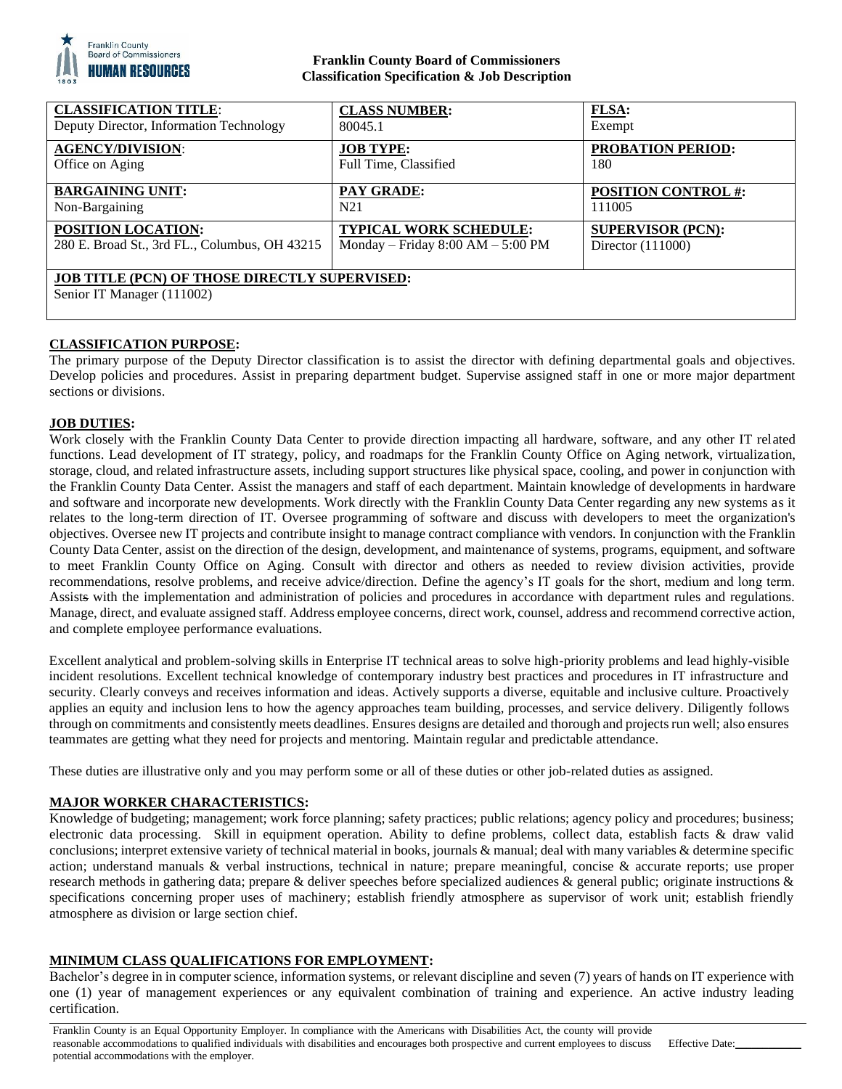

## **Franklin County Board of Commissioners Classification Specification & Job Description**

| <b>CLASSIFICATION TITLE:</b>                                                       | <b>CLASS NUMBER:</b>                  | <b>FLSA:</b>               |
|------------------------------------------------------------------------------------|---------------------------------------|----------------------------|
| Deputy Director, Information Technology                                            | 80045.1                               | Exempt                     |
| <b>AGENCY/DIVISION:</b>                                                            | <b>JOB TYPE:</b>                      | <b>PROBATION PERIOD:</b>   |
| Office on Aging                                                                    | Full Time, Classified                 | 180                        |
| <b>BARGAINING UNIT:</b>                                                            | <b>PAY GRADE:</b>                     | <b>POSITION CONTROL #:</b> |
| Non-Bargaining                                                                     | N21                                   | 111005                     |
| POSITION LOCATION:                                                                 | <b>TYPICAL WORK SCHEDULE:</b>         | <b>SUPERVISOR (PCN):</b>   |
| 280 E. Broad St., 3rd FL., Columbus, OH 43215                                      | Monday – Friday $8:00$ AM – $5:00$ PM | Director $(111000)$        |
| <b>JOB TITLE (PCN) OF THOSE DIRECTLY SUPERVISED:</b><br>Senior IT Manager (111002) |                                       |                            |

# **CLASSIFICATION PURPOSE:**

The primary purpose of the Deputy Director classification is to assist the director with defining departmental goals and objectives. Develop policies and procedures. Assist in preparing department budget. Supervise assigned staff in one or more major department sections or divisions.

## **JOB DUTIES:**

Work closely with the Franklin County Data Center to provide direction impacting all hardware, software, and any other IT related functions. Lead development of IT strategy, policy, and roadmaps for the Franklin County Office on Aging network, virtualization, storage, cloud, and related infrastructure assets, including support structures like physical space, cooling, and power in conjunction with the Franklin County Data Center. Assist the managers and staff of each department. Maintain knowledge of developments in hardware and software and incorporate new developments. Work directly with the Franklin County Data Center regarding any new systems as it relates to the long-term direction of IT. Oversee programming of software and discuss with developers to meet the organization's objectives. Oversee new IT projects and contribute insight to manage contract compliance with vendors. In conjunction with the Franklin County Data Center, assist on the direction of the design, development, and maintenance of systems, programs, equipment, and software to meet Franklin County Office on Aging. Consult with director and others as needed to review division activities, provide recommendations, resolve problems, and receive advice/direction. Define the agency's IT goals for the short, medium and long term. Assists with the implementation and administration of policies and procedures in accordance with department rules and regulations. Manage, direct, and evaluate assigned staff. Address employee concerns, direct work, counsel, address and recommend corrective action, and complete employee performance evaluations.

Excellent analytical and problem-solving skills in Enterprise IT technical areas to solve high-priority problems and lead highly-visible incident resolutions. Excellent technical knowledge of contemporary industry best practices and procedures in IT infrastructure and security. Clearly conveys and receives information and ideas. Actively supports a diverse, equitable and inclusive culture. Proactively applies an equity and inclusion lens to how the agency approaches team building, processes, and service delivery. Diligently follows through on commitments and consistently meets deadlines. Ensures designs are detailed and thorough and projects run well; also ensures teammates are getting what they need for projects and mentoring. Maintain regular and predictable attendance.

These duties are illustrative only and you may perform some or all of these duties or other job-related duties as assigned.

## **MAJOR WORKER CHARACTERISTICS:**

Knowledge of budgeting; management; work force planning; safety practices; public relations; agency policy and procedures; business; electronic data processing. Skill in equipment operation. Ability to define problems, collect data, establish facts & draw valid conclusions; interpret extensive variety of technical material in books, journals & manual; deal with many variables & determine specific action; understand manuals & verbal instructions, technical in nature; prepare meaningful, concise & accurate reports; use proper research methods in gathering data; prepare & deliver speeches before specialized audiences & general public; originate instructions & specifications concerning proper uses of machinery; establish friendly atmosphere as supervisor of work unit; establish friendly atmosphere as division or large section chief.

# **MINIMUM CLASS QUALIFICATIONS FOR EMPLOYMENT:**

Bachelor's degree in in computer science, information systems, or relevant discipline and seven (7) years of hands on IT experience with one (1) year of management experiences or any equivalent combination of training and experience. An active industry leading certification.